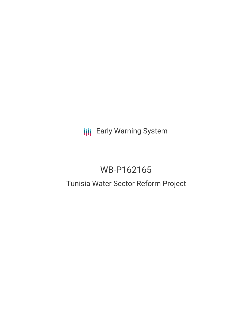# **III** Early Warning System

# WB-P162165

## Tunisia Water Sector Reform Project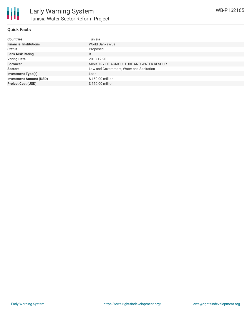

#### **Quick Facts**

| <b>Countries</b>               | Tunisia                                  |
|--------------------------------|------------------------------------------|
| <b>Financial Institutions</b>  | World Bank (WB)                          |
| <b>Status</b>                  | Proposed                                 |
| <b>Bank Risk Rating</b>        | B                                        |
| <b>Voting Date</b>             | 2018-12-20                               |
| <b>Borrower</b>                | MINISTRY OF AGRICULTURE AND WATER RESOUR |
| <b>Sectors</b>                 | Law and Government, Water and Sanitation |
| <b>Investment Type(s)</b>      | Loan                                     |
| <b>Investment Amount (USD)</b> | \$150.00 million                         |
| <b>Project Cost (USD)</b>      | \$150.00 million                         |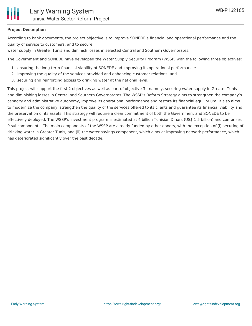

## **Project Description**

According to bank documents, the project objective is to improve SONEDE's financial and operational performance and the quality of service to customers, and to secure

water supply in Greater Tunis and diminish losses in selected Central and Southern Governorates.

The Government and SONEDE have developed the Water Supply Security Program (WSSP) with the following three objectives:

- 1. ensuring the long-term financial viability of SONEDE and improving its operational performance;
- 2. improving the quality of the services provided and enhancing customer relations; and
- 3. securing and reinforcing access to drinking water at the national level.

This project will support the first 2 objectives as well as part of objective 3 - namely, securing water supply in Greater Tunis and diminishing losses in Central and Southern Governorates. The WSSP's Reform Strategy aims to strengthen the company's capacity and administrative autonomy, improve its operational performance and restore its financial equilibrium. It also aims to modernize the company, strengthen the quality of the services offered to its clients and guarantee its financial viability and the preservation of its assets. This strategy will require a clear commitment of both the Government and SONEDE to be effectively deployed. The WSSP's investment program is estimated at 4 billion Tunisian Dinars (US\$ 1.5 billion) and comprises 9 subcomponents. The main components of the WSSP are already funded by other donors, with the exception of (i) securing of drinking water in Greater Tunis; and (ii) the water savings component, which aims at improving network performance, which has deteriorated significantly over the past decade..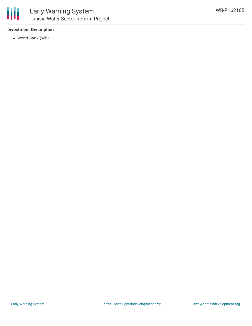

## **Investment Description**

World Bank (WB)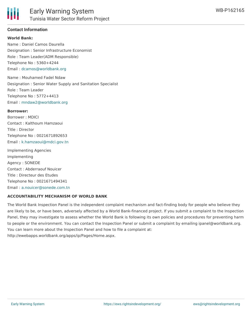

### **Contact Information**

#### **World Bank:**

Name : Daniel Camos Daurella Designation : Senior Infrastructure Economist Role : Team Leader(ADM Responsible) Telephone No : 5360+4244 Email : [dcamos@worldbank.org](mailto:dcamos@worldbank.org)

Name : Mouhamed Fadel Ndaw Designation : Senior Water Supply and Sanitation Specialist Role : Team Leader Telephone No : 5772+4413 Email : [mndaw2@worldbank.org](mailto:mndaw2@worldbank.org)

#### **Borrower:**

Borrower : MDICI Contact : Kalthoum Hamzaoui Title : Director Telephone No : 0021671892653 Email : [k.hamzaoui@mdci.gov.tn](mailto:k.hamzaoui@mdci.gov.tn)

Implementing Agencies Implementing Agency : SONEDE Contact : Abderraouf Nouicer Title : Directeur des Etudes Telephone No : 0021671494341 Email : [a.nouicer@sonede.com.tn](mailto:a.nouicer@sonede.com.tn)

#### **ACCOUNTABILITY MECHANISM OF WORLD BANK**

The World Bank Inspection Panel is the independent complaint mechanism and fact-finding body for people who believe they are likely to be, or have been, adversely affected by a World Bank-financed project. If you submit a complaint to the Inspection Panel, they may investigate to assess whether the World Bank is following its own policies and procedures for preventing harm to people or the environment. You can contact the Inspection Panel or submit a complaint by emailing ipanel@worldbank.org. You can learn more about the Inspection Panel and how to file a complaint at: http://ewebapps.worldbank.org/apps/ip/Pages/Home.aspx.